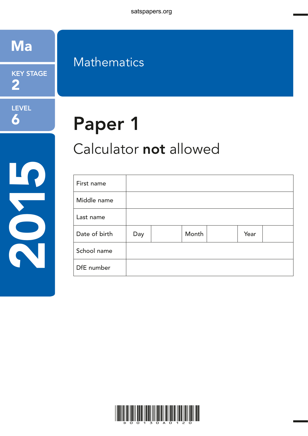satspapers.org



KEY STAGE 2

LEVEL 6

2020

## **Mathematics**

# Paper 1

## Calculator not allowed

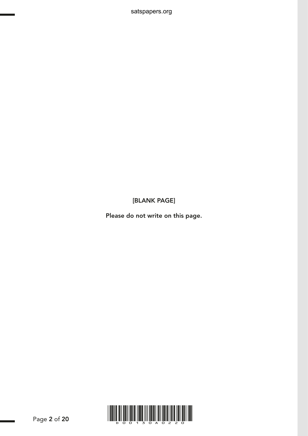[BLANK PAGE]

satspapers.org

Please do not write on this page.

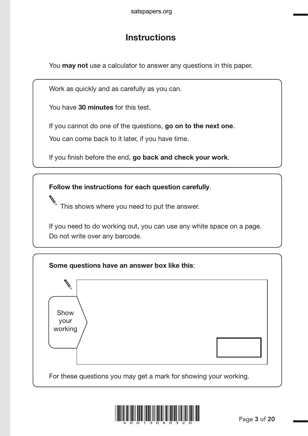## **Instructions**

You **may not** use a calculator to answer any questions in this paper.

Work as quickly and as carefully as you can.

You have 30 minutes for this test.

If you cannot do one of the questions, go on to the next one.

You can come back to it later, if you have time.

If you finish before the end, go back and check your work.

Follow the instructions for each question carefully.

This shows where you need to put the answer.

If you need to do working out, you can use any white space on a page. Do not write over any barcode.



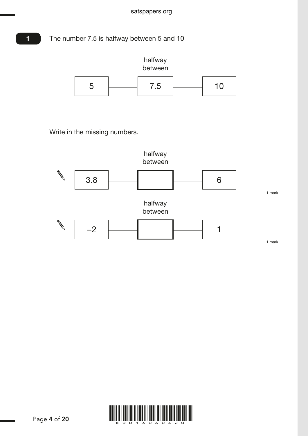The number 7.5 is halfway between 5 and 10

1



Write in the missing numbers.



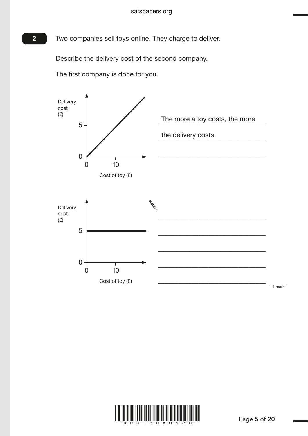**2** Two companies sell toys online. They charge to deliver.

Describe the delivery cost of the second company.

The first company is done for you.



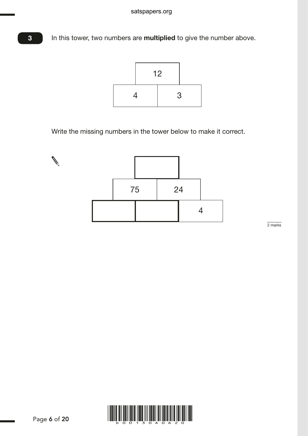In this tower, two numbers are **multiplied** to give the number above.



Write the missing numbers in the tower below to make it correct.



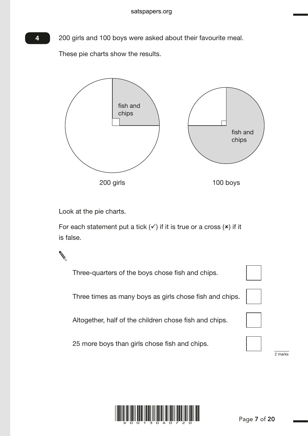200 girls and 100 boys were asked about their favourite meal.

These pie charts show the results.



Look at the pie charts.

For each statement put a tick  $(v)$  if it is true or a cross  $(x)$  if it is false.



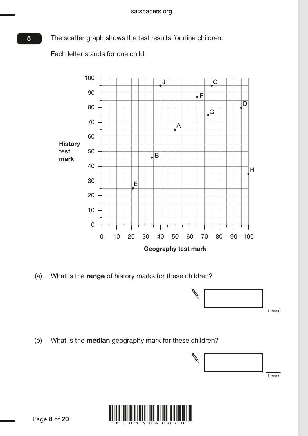The scatter graph shows the test results for nine children.

Each letter stands for one child.



(a) What is the range of history marks for these children?



(b) What is the **median** geography mark for these children?



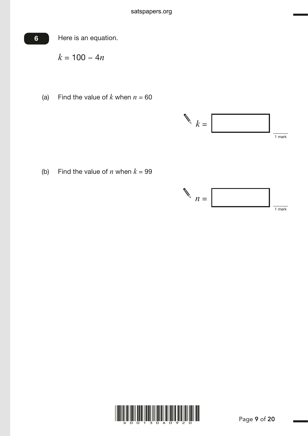

*k* = 100 − 4*n*

(a) Find the value of  $k$  when  $n = 60$ 



(b) Find the value of *n* when  $k = 99$ 



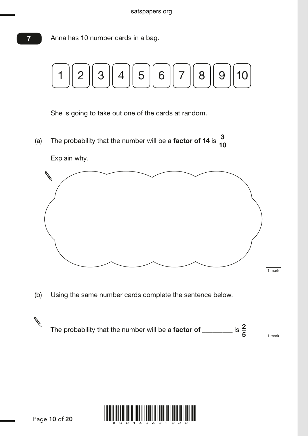Anna has 10 number cards in a bag.



She is going to take out one of the cards at random.

(a) The probability that the number will be a **factor of 14** is  $\frac{3}{14}$ 10



(b) Using the same number cards complete the sentence below.



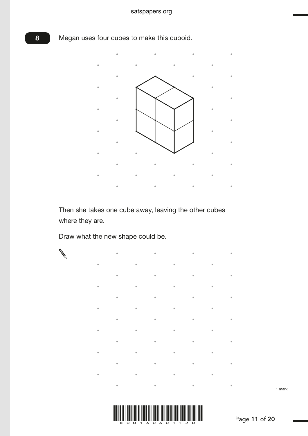## Megan uses four cubes to make this cuboid.

8



Then she takes one cube away, leaving the other cubes where they are.

Draw what the new shape could be.





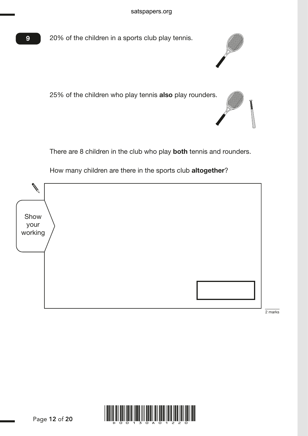

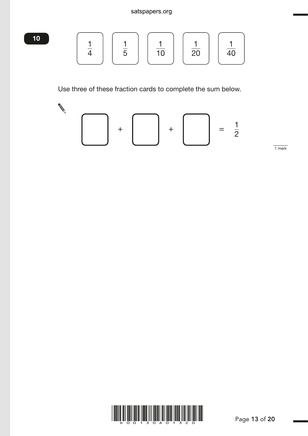## satspapers.org

$$
\frac{10}{4} \quad \boxed{\frac{1}{5}} \quad \boxed{\frac{1}{10}} \quad \boxed{\frac{1}{20}} \quad \boxed{\frac{1}{40}}
$$

Use three of these fraction cards to complete the sum below.



1 mark

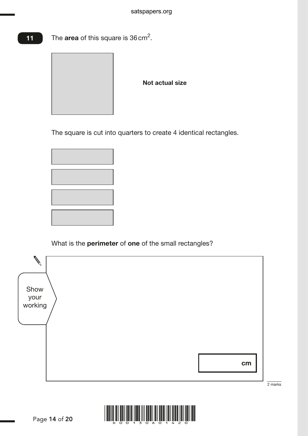The area of this square is 36 cm<sup>2</sup>. 11



Not actual size

The square is cut into quarters to create 4 identical rectangles.



What is the **perimeter** of **one** of the small rectangles?



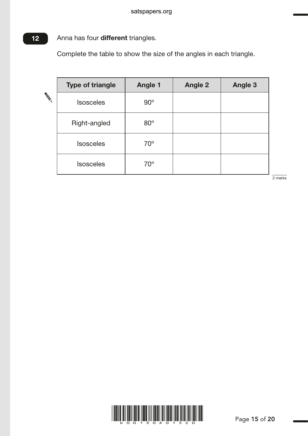#### Anna has four different triangles. 12

Complete the table to show the size of the angles in each triangle.

| <b>Type of triangle</b> | <b>Angle 1</b> | <b>Angle 2</b> | <b>Angle 3</b> |
|-------------------------|----------------|----------------|----------------|
| <b>Isosceles</b>        | $90^\circ$     |                |                |
| Right-angled            | $80^\circ$     |                |                |
| <b>Isosceles</b>        | $70^{\circ}$   |                |                |
| <b>Isosceles</b>        | $70^\circ$     |                |                |

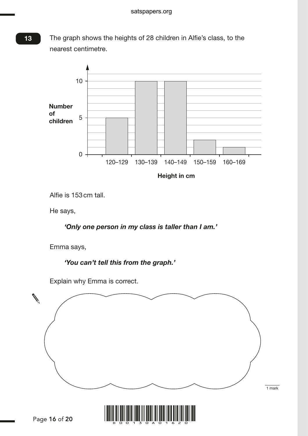The graph shows the heights of 28 children in Alfie's class, to the nearest centimetre.



Height in cm

Alfie is 153 cm tall.

He says,

## *'Only one person in my class is taller than I am.'*

Emma says,

*'You can't tell this from the graph.'*

Explain why Emma is correct.





13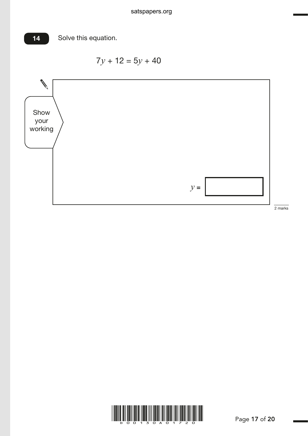

$$
7y + 12 = 5y + 40
$$



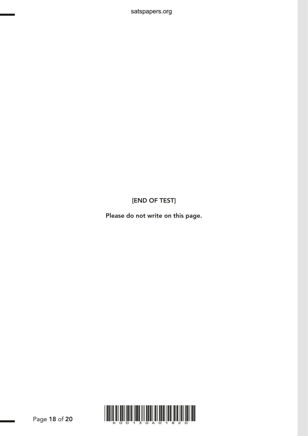[END OF TEST]

satspapers.org

Please do not write on this page.

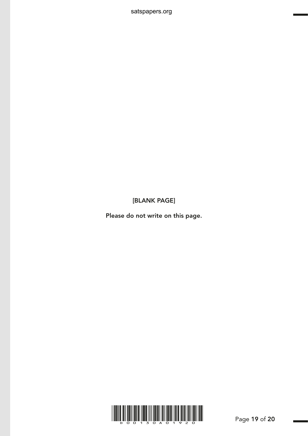[BLANK PAGE]

satspapers.org

Please do not write on this page.